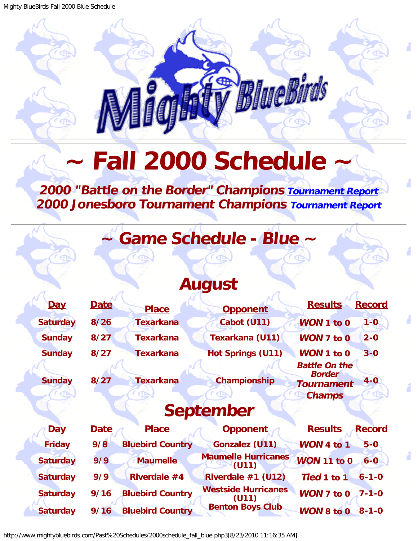# BlueBirds

# **Fall 2000 Schedule**

#### <span id="page-0-0"></span>**2000 "Battle on the Border" Champions [Tournament Report](http://www.mightybluebirds.com/Tournaments/2000texarkana.php3) 2000 Jonesboro Tournament Champions [Tournament Report](http://www.mightybluebirds.com/Tournaments/2000jonesboro.php3)**

# **~ Game Schedule - Blue ~**

## **August**

| Day              | <b>Date</b> | <b>Place</b>            | <b>Opponent</b>                     | <b>Results</b><br><b>Record</b>                                                        |  |  |  |
|------------------|-------------|-------------------------|-------------------------------------|----------------------------------------------------------------------------------------|--|--|--|
| <b>Saturday</b>  | 8/26        | <b>Texarkana</b>        | Cabot (U11)                         | WON 1 to 0<br>$1 - 0$                                                                  |  |  |  |
| <b>Sunday</b>    | 8/27        | <b>Texarkana</b>        | <b>Texarkana (U11)</b>              | $WON$ 7 to $0$<br>$2 - 0$                                                              |  |  |  |
| <b>Sunday</b>    | 8/27        | <b>Texarkana</b>        | <b>Hot Springs (U11)</b>            | WON 1 to 0<br>$3 - 0$                                                                  |  |  |  |
| <b>Sunday</b>    | 8/27        | <b>Texarkana</b>        | Championship                        | <b>Battle On the</b><br><b>Border</b><br>$4 - 0$<br><b>Tournament</b><br><b>Champs</b> |  |  |  |
| <b>September</b> |             |                         |                                     |                                                                                        |  |  |  |
| <b>Day</b>       | <b>Date</b> | <b>Place</b>            | <b>Opponent</b>                     | <b>Results</b><br><b>Record</b>                                                        |  |  |  |
| <b>Friday</b>    | 9/8         | <b>Bluebird Country</b> | <b>Gonzalez (U11)</b>               | WON 4 to 1<br>$5-0$                                                                    |  |  |  |
| <b>Saturday</b>  | 9/9         | <b>Maumelle</b>         | <b>Maumelle Hurricanes</b><br>(U11) | <b>WON 11 to 0</b><br>$6 - 0$                                                          |  |  |  |
| <b>Saturday</b>  | 9/9         | Riverdale #4            | Riverdale #1 (U12)                  | Tied 1 to 1<br>$6 - 1 - 0$                                                             |  |  |  |
| <b>Saturday</b>  | 9/16        | <b>Bluebird Country</b> | <b>Westside Hurricanes</b><br>(U11) | <b>WON 7 to 0</b><br>$7 - 1 - 0$                                                       |  |  |  |

**Saturday 9/16 Bluebird Country Benton Boys Club WON 8 to 0 8-1-0**

http://www.mightybluebirds.com/Past%20Schedules/2000schedule\_fall\_blue.php3[8/23/2010 11:16:35 AM]